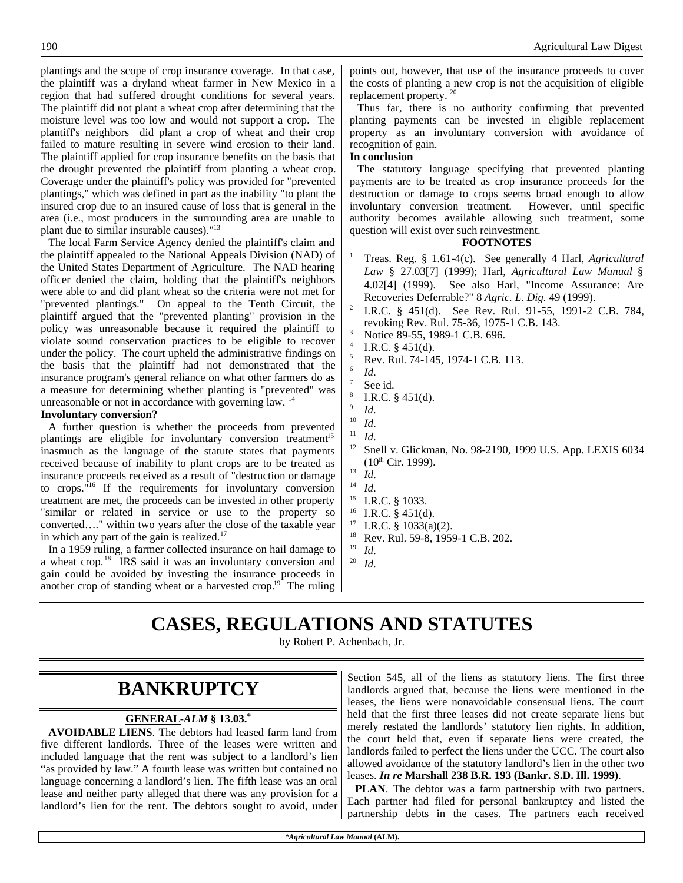plantings and the scope of crop insurance coverage. In that case, the plaintiff was a dryland wheat farmer in New Mexico in a region that had suffered drought conditions for several years. The plaintiff did not plant a wheat crop after determining that the moisture level was too low and would not support a crop. The plantiff's neighbors did plant a crop of wheat and their crop failed to mature resulting in severe wind erosion to their land. The plaintiff applied for crop insurance benefits on the basis that the drought prevented the plaintiff from planting a wheat crop. Coverage under the plaintiff's policy was provided for "prevented plantings," which was defined in part as the inability "to plant the insured crop due to an insured cause of loss that is general in the area (i.e., most producers in the surrounding area are unable to plant due to similar insurable causes)."<sup>13</sup>

The local Farm Service Agency denied the plaintiff's claim and the plaintiff appealed to the National Appeals Division (NAD) of the United States Department of Agriculture. The NAD hearing officer denied the claim, holding that the plaintiff's neighbors were able to and did plant wheat so the criteria were not met for "prevented plantings." On appeal to the Tenth Circuit, the plaintiff argued that the "prevented planting" provision in the policy was unreasonable because it required the plaintiff to violate sound conservation practices to be eligible to recover under the policy. The court upheld the administrative findings on the basis that the plaintiff had not demonstrated that the insurance program's general reliance on what other farmers do as a measure for determining whether planting is "prevented" was unreasonable or not in accordance with governing law. <sup>14</sup>

### **Involuntary conversion?**

A further question is whether the proceeds from prevented plantings are eligible for involuntary conversion treatment<sup>15</sup> inasmuch as the language of the statute states that payments received because of inability to plant crops are to be treated as insurance proceeds received as a result of "destruction or damage to crops. $\mathbf{u}^{16}$  If the requirements for involuntary conversion treatment are met, the proceeds can be invested in other property "similar or related in service or use to the property so converted…." within two years after the close of the taxable year in which any part of the gain is realized. $17$ 

In a 1959 ruling, a farmer collected insurance on hail damage to a wheat crop.<sup>18</sup> IRS said it was an involuntary conversion and gain could be avoided by investing the insurance proceeds in another crop of standing wheat or a harvested crop.<sup>19</sup> The ruling

points out, however, that use of the insurance proceeds to cover the costs of planting a new crop is not the acquisition of eligible replacement property. <sup>20</sup>

Thus far, there is no authority confirming that prevented planting payments can be invested in eligible replacement property as an involuntary conversion with avoidance of recognition of gain.

### **In conclusion**

The statutory language specifying that prevented planting payments are to be treated as crop insurance proceeds for the destruction or damage to crops seems broad enough to allow involuntary conversion treatment. However, until specific authority becomes available allowing such treatment, some question will exist over such reinvestment.

### **FOOTNOTES**

- <sup>1</sup> Treas. Reg. § 1.61-4(c). See generally 4 Harl, *Agricultural Law* § 27.03[7] (1999); Harl, *Agricultural Law Manual* § 4.02[4] (1999). See also Harl, "Income Assurance: Are Recoveries Deferrable?" 8 *Agric. L. Dig.* 49 (1999).
- 2 I.R.C. § 451(d). See Rev. Rul. 91-55, 1991-2 C.B. 784, revoking Rev. Rul. 75-36, 1975-1 C.B. 143.
- Notice 89-55, 1989-1 C.B. 696.
- 4 I.R.C. § 451(d).
- <sup>5</sup> Rev. Rul. 74-145, 1974-1 C.B. 113.
- 6 *Id*.
- See id. 8
- I.R.C. § 451(d).
- 9 *Id*.
- $\frac{10}{11}$  *Id.*
- <sup>11</sup> *Id*.
- Snell v. Glickman, No. 98-2190, 1999 U.S. App. LEXIS 6034  $(10^{th}$  Cir. 1999).
- $^{13}$  *Id.*
- <sup>14</sup> *Id*.
- <sup>15</sup> I.R.C. § 1033.
- I.R.C.  $§$  451(d).
- <sup>17</sup> I.R.C. § 1033(a)(2).
- <sup>18</sup> Rev. Rul. 59-8, 1959-1 C.B. 202.
- $\frac{19}{20}$  *Id.* <sup>20</sup> *Id*.

# **CASES, REGULATIONS AND STATUTES**

by Robert P. Achenbach, Jr.

### **BANKRUPTCY**

### **GENERAL -***ALM* **§ 13.03.\***

**AVOIDABLE LIENS**. The debtors had leased farm land from five different landlords. Three of the leases were written and included language that the rent was subject to a landlord's lien "as provided by law." A fourth lease was written but contained no language concerning a landlord's lien. The fifth lease was an oral lease and neither party alleged that there was any provision for a landlord's lien for the rent. The debtors sought to avoid, under

Section 545, all of the liens as statutory liens. The first three landlords argued that, because the liens were mentioned in the leases, the liens were nonavoidable consensual liens. The court held that the first three leases did not create separate liens but merely restated the landlords' statutory lien rights. In addition, the court held that, even if separate liens were created, the landlords failed to perfect the liens under the UCC. The court also allowed avoidance of the statutory landlord's lien in the other two leases. *In re* **Marshall 238 B.R. 193 (Bankr. S.D. Ill. 1999)**.

**PLAN**. The debtor was a farm partnership with two partners. Each partner had filed for personal bankruptcy and listed the partnership debts in the cases. The partners each received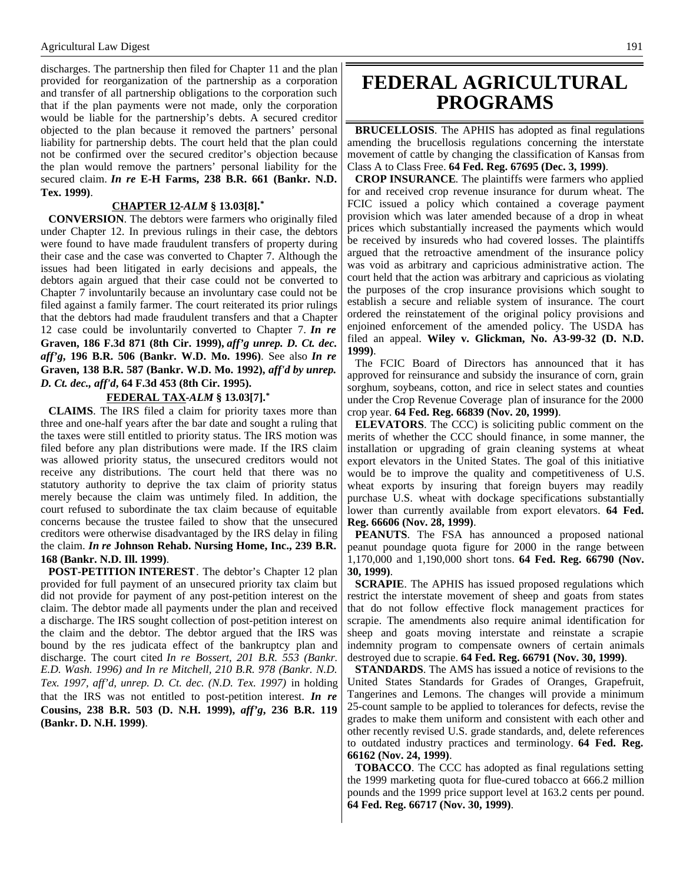discharges. The partnership then filed for Chapter 11 and the plan provided for reorganization of the partnership as a corporation and transfer of all partnership obligations to the corporation such that if the plan payments were not made, only the corporation would be liable for the partnership's debts. A secured creditor objected to the plan because it removed the partners' personal liability for partnership debts. The court held that the plan could not be confirmed over the secured creditor's objection because the plan would remove the partners' personal liability for the secured claim. *In re* **E-H Farms, 238 B.R. 661 (Bankr. N.D. Tex. 1999)**.

#### **CHAPTER 12 -***ALM* **§ 13.03[8].\***

**CONVERSION**. The debtors were farmers who originally filed under Chapter 12. In previous rulings in their case, the debtors were found to have made fraudulent transfers of property during their case and the case was converted to Chapter 7. Although the issues had been litigated in early decisions and appeals, the debtors again argued that their case could not be converted to Chapter 7 involuntarily because an involuntary case could not be filed against a family farmer. The court reiterated its prior rulings that the debtors had made fraudulent transfers and that a Chapter 12 case could be involuntarily converted to Chapter 7. *In re* **Graven, 186 F.3d 871 (8th Cir. 1999),** *aff'g unrep. D. Ct. dec. aff'g***, 196 B.R. 506 (Bankr. W.D. Mo. 1996)**. See also *In re* **Graven, 138 B.R. 587 (Bankr. W.D. Mo. 1992),** *aff'd by unrep. D. Ct. dec., aff'd***, 64 F.3d 453 (8th Cir. 1995).**

#### **FEDERAL TAX -***ALM* **§ 13.03[7].\***

**CLAIMS**. The IRS filed a claim for priority taxes more than three and one-half years after the bar date and sought a ruling that the taxes were still entitled to priority status. The IRS motion was filed before any plan distributions were made. If the IRS claim was allowed priority status, the unsecured creditors would not receive any distributions. The court held that there was no statutory authority to deprive the tax claim of priority status merely because the claim was untimely filed. In addition, the court refused to subordinate the tax claim because of equitable concerns because the trustee failed to show that the unsecured creditors were otherwise disadvantaged by the IRS delay in filing the claim. *In re* **Johnson Rehab. Nursing Home, Inc., 239 B.R. 168 (Bankr. N.D. Ill. 1999)**.

**POST-PETITION INTEREST**. The debtor's Chapter 12 plan provided for full payment of an unsecured priority tax claim but did not provide for payment of any post-petition interest on the claim. The debtor made all payments under the plan and received a discharge. The IRS sought collection of post-petition interest on the claim and the debtor. The debtor argued that the IRS was bound by the res judicata effect of the bankruptcy plan and discharge. The court cited *In re Bossert, 201 B.R. 553 (Bankr. E.D. Wash. 1996) and In re Mitchell, 210 B.R. 978 (Bankr. N.D. Tex. 1997, aff'd, unrep. D. Ct. dec. (N.D. Tex. 1997)* in holding that the IRS was not entitled to post-petition interest. *In re* **Cousins, 238 B.R. 503 (D. N.H. 1999),** *aff'g***, 236 B.R. 119 (Bankr. D. N.H. 1999)**.

## **FEDERAL AGRICULTURAL PROGRAMS**

**BRUCELLOSIS**. The APHIS has adopted as final regulations amending the brucellosis regulations concerning the interstate movement of cattle by changing the classification of Kansas from Class A to Class Free. **64 Fed. Reg. 67695 (Dec. 3, 1999)**.

**CROP INSURANCE**. The plaintiffs were farmers who applied for and received crop revenue insurance for durum wheat. The FCIC issued a policy which contained a coverage payment provision which was later amended because of a drop in wheat prices which substantially increased the payments which would be received by insureds who had covered losses. The plaintiffs argued that the retroactive amendment of the insurance policy was void as arbitrary and capricious administrative action. The court held that the action was arbitrary and capricious as violating the purposes of the crop insurance provisions which sought to establish a secure and reliable system of insurance. The court ordered the reinstatement of the original policy provisions and enjoined enforcement of the amended policy. The USDA has filed an appeal. **Wiley v. Glickman, No. A3-99-32 (D. N.D. 1999)**.

The FCIC Board of Directors has announced that it has approved for reinsurance and subsidy the insurance of corn, grain sorghum, soybeans, cotton, and rice in select states and counties under the Crop Revenue Coverage plan of insurance for the 2000 crop year. **64 Fed. Reg. 66839 (Nov. 20, 1999)**.

**ELEVATORS**. The CCC) is soliciting public comment on the merits of whether the CCC should finance, in some manner, the installation or upgrading of grain cleaning systems at wheat export elevators in the United States. The goal of this initiative would be to improve the quality and competitiveness of U.S. wheat exports by insuring that foreign buyers may readily purchase U.S. wheat with dockage specifications substantially lower than currently available from export elevators. **64 Fed. Reg. 66606 (Nov. 28, 1999)**.

**PEANUTS**. The FSA has announced a proposed national peanut poundage quota figure for 2000 in the range between 1,170,000 and 1,190,000 short tons. **64 Fed. Reg. 66790 (Nov. 30, 1999)**.

**SCRAPIE**. The APHIS has issued proposed regulations which restrict the interstate movement of sheep and goats from states that do not follow effective flock management practices for scrapie. The amendments also require animal identification for sheep and goats moving interstate and reinstate a scrapie indemnity program to compensate owners of certain animals destroyed due to scrapie. **64 Fed. Reg. 66791 (Nov. 30, 1999)**.

**STANDARDS**. The AMS has issued a notice of revisions to the United States Standards for Grades of Oranges, Grapefruit, Tangerines and Lemons. The changes will provide a minimum 25-count sample to be applied to tolerances for defects, revise the grades to make them uniform and consistent with each other and other recently revised U.S. grade standards, and, delete references to outdated industry practices and terminology. **64 Fed. Reg. 66162 (Nov. 24, 1999)**.

**TOBACCO**. The CCC has adopted as final regulations setting the 1999 marketing quota for flue-cured tobacco at 666.2 million pounds and the 1999 price support level at 163.2 cents per pound. **64 Fed. Reg. 66717 (Nov. 30, 1999)**.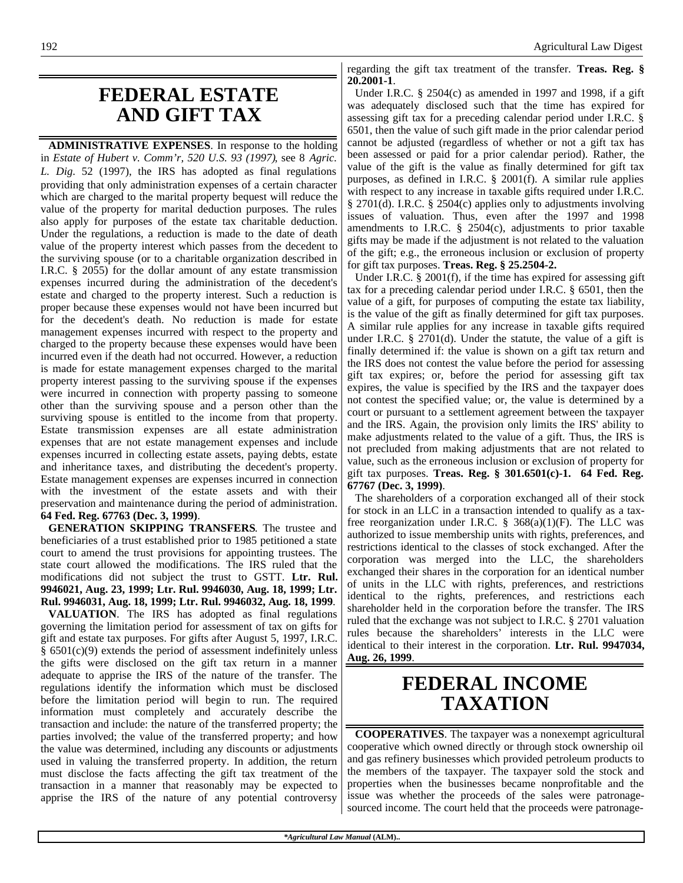# **FEDERAL ESTATE AND GIFT TAX**

**ADMINISTRATIVE EXPENSES**. In response to the holding in *Estate of Hubert v. Comm'r, 520 U.S. 93 (1997)*, see 8 *Agric. L. Dig*. 52 (1997), the IRS has adopted as final regulations providing that only administration expenses of a certain character which are charged to the marital property bequest will reduce the value of the property for marital deduction purposes. The rules also apply for purposes of the estate tax charitable deduction. Under the regulations, a reduction is made to the date of death value of the property interest which passes from the decedent to the surviving spouse (or to a charitable organization described in I.R.C. § 2055) for the dollar amount of any estate transmission expenses incurred during the administration of the decedent's estate and charged to the property interest. Such a reduction is proper because these expenses would not have been incurred but for the decedent's death. No reduction is made for estate management expenses incurred with respect to the property and charged to the property because these expenses would have been incurred even if the death had not occurred. However, a reduction is made for estate management expenses charged to the marital property interest passing to the surviving spouse if the expenses were incurred in connection with property passing to someone other than the surviving spouse and a person other than the surviving spouse is entitled to the income from that property. Estate transmission expenses are all estate administration expenses that are not estate management expenses and include expenses incurred in collecting estate assets, paying debts, estate and inheritance taxes, and distributing the decedent's property. Estate management expenses are expenses incurred in connection with the investment of the estate assets and with their preservation and maintenance during the period of administration. **64 Fed. Reg. 67763 (Dec. 3, 1999)**.

**GENERATION SKIPPING TRANSFERS**. The trustee and beneficiaries of a trust established prior to 1985 petitioned a state court to amend the trust provisions for appointing trustees. The state court allowed the modifications. The IRS ruled that the modifications did not subject the trust to GSTT. **Ltr. Rul. 9946021, Aug. 23, 1999; Ltr. Rul. 9946030, Aug. 18, 1999; Ltr. Rul. 9946031, Aug. 18, 1999; Ltr. Rul. 9946032, Aug. 18, 1999**.

**VALUATION**. The IRS has adopted as final regulations governing the limitation period for assessment of tax on gifts for gift and estate tax purposes. For gifts after August 5, 1997, I.R.C. § 6501(c)(9) extends the period of assessment indefinitely unless the gifts were disclosed on the gift tax return in a manner adequate to apprise the IRS of the nature of the transfer. The regulations identify the information which must be disclosed before the limitation period will begin to run. The required information must completely and accurately describe the transaction and include: the nature of the transferred property; the parties involved; the value of the transferred property; and how the value was determined, including any discounts or adjustments used in valuing the transferred property. In addition, the return must disclose the facts affecting the gift tax treatment of the transaction in a manner that reasonably may be expected to apprise the IRS of the nature of any potential controversy

regarding the gift tax treatment of the transfer. **Treas. Reg. § 20.2001-1**.

Under I.R.C. § 2504(c) as amended in 1997 and 1998, if a gift was adequately disclosed such that the time has expired for assessing gift tax for a preceding calendar period under I.R.C. § 6501, then the value of such gift made in the prior calendar period cannot be adjusted (regardless of whether or not a gift tax has been assessed or paid for a prior calendar period). Rather, the value of the gift is the value as finally determined for gift tax purposes, as defined in I.R.C. § 2001(f). A similar rule applies with respect to any increase in taxable gifts required under I.R.C. § 2701(d). I.R.C. § 2504(c) applies only to adjustments involving issues of valuation. Thus, even after the 1997 and 1998 amendments to I.R.C. § 2504(c), adjustments to prior taxable gifts may be made if the adjustment is not related to the valuation of the gift; e.g., the erroneous inclusion or exclusion of property for gift tax purposes. **Treas. Reg. § 25.2504-2.**

Under I.R.C. § 2001(f), if the time has expired for assessing gift tax for a preceding calendar period under I.R.C. § 6501, then the value of a gift, for purposes of computing the estate tax liability, is the value of the gift as finally determined for gift tax purposes. A similar rule applies for any increase in taxable gifts required under I.R.C. § 2701(d). Under the statute, the value of a gift is finally determined if: the value is shown on a gift tax return and the IRS does not contest the value before the period for assessing gift tax expires; or, before the period for assessing gift tax expires, the value is specified by the IRS and the taxpayer does not contest the specified value; or, the value is determined by a court or pursuant to a settlement agreement between the taxpayer and the IRS. Again, the provision only limits the IRS' ability to make adjustments related to the value of a gift. Thus, the IRS is not precluded from making adjustments that are not related to value, such as the erroneous inclusion or exclusion of property for gift tax purposes. **Treas. Reg. § 301.6501(c)-1. 64 Fed. Reg. 67767 (Dec. 3, 1999)**.

The shareholders of a corporation exchanged all of their stock for stock in an LLC in a transaction intended to qualify as a taxfree reorganization under I.R.C.  $\S$  368(a)(1)(F). The LLC was authorized to issue membership units with rights, preferences, and restrictions identical to the classes of stock exchanged. After the corporation was merged into the LLC, the shareholders exchanged their shares in the corporation for an identical number of units in the LLC with rights, preferences, and restrictions identical to the rights, preferences, and restrictions each shareholder held in the corporation before the transfer. The IRS ruled that the exchange was not subject to I.R.C. § 2701 valuation rules because the shareholders' interests in the LLC were identical to their interest in the corporation. **Ltr. Rul. 9947034, Aug. 26, 1999**.

# **FEDERAL INCOME TAXATION**

**COOPERATIVES**. The taxpayer was a nonexempt agricultural cooperative which owned directly or through stock ownership oil and gas refinery businesses which provided petroleum products to the members of the taxpayer. The taxpayer sold the stock and properties when the businesses became nonprofitable and the issue was whether the proceeds of the sales were patronagesourced income. The court held that the proceeds were patronage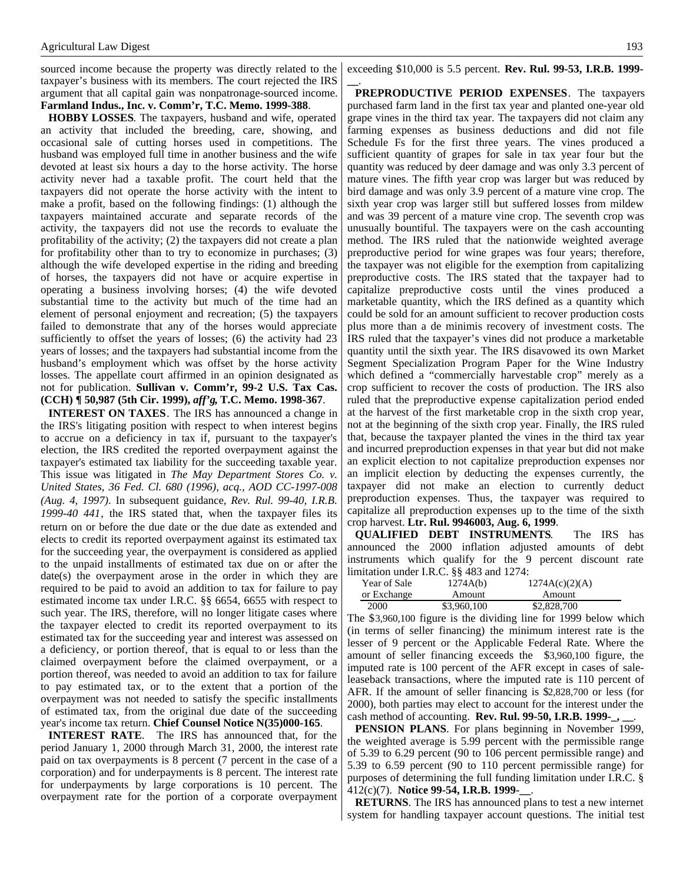sourced income because the property was directly related to the taxpayer's business with its members. The court rejected the IRS argument that all capital gain was nonpatronage-sourced income. **Farmland Indus., Inc. v. Comm'r, T.C. Memo. 1999-388**.

**HOBBY LOSSES**. The taxpayers, husband and wife, operated an activity that included the breeding, care, showing, and occasional sale of cutting horses used in competitions. The husband was employed full time in another business and the wife devoted at least six hours a day to the horse activity. The horse activity never had a taxable profit. The court held that the taxpayers did not operate the horse activity with the intent to make a profit, based on the following findings: (1) although the taxpayers maintained accurate and separate records of the activity, the taxpayers did not use the records to evaluate the profitability of the activity; (2) the taxpayers did not create a plan for profitability other than to try to economize in purchases; (3) although the wife developed expertise in the riding and breeding of horses, the taxpayers did not have or acquire expertise in operating a business involving horses; (4) the wife devoted substantial time to the activity but much of the time had an element of personal enjoyment and recreation; (5) the taxpayers failed to demonstrate that any of the horses would appreciate sufficiently to offset the years of losses; (6) the activity had 23 years of losses; and the taxpayers had substantial income from the husband's employment which was offset by the horse activity losses. The appellate court affirmed in an opinion designated as not for publication. **Sullivan v. Comm'r, 99-2 U.S. Tax Cas. (CCH) ¶ 50,987 (5th Cir. 1999),** *aff'g***, T.C. Memo. 1998-367**.

**INTEREST ON TAXES**. The IRS has announced a change in the IRS's litigating position with respect to when interest begins to accrue on a deficiency in tax if, pursuant to the taxpayer's election, the IRS credited the reported overpayment against the taxpayer's estimated tax liability for the succeeding taxable year. This issue was litigated in *The May Department Stores Co. v. United States, 36 Fed. Cl. 680 (1996), acq., AOD CC-1997-008 (Aug. 4, 1997)*. In subsequent guidance, *Rev. Rul. 99-40, I.R.B. 1999-40 441*, the IRS stated that, when the taxpayer files its return on or before the due date or the due date as extended and elects to credit its reported overpayment against its estimated tax for the succeeding year, the overpayment is considered as applied to the unpaid installments of estimated tax due on or after the date(s) the overpayment arose in the order in which they are required to be paid to avoid an addition to tax for failure to pay estimated income tax under I.R.C. §§ 6654, 6655 with respect to such year. The IRS, therefore, will no longer litigate cases where the taxpayer elected to credit its reported overpayment to its estimated tax for the succeeding year and interest was assessed on a deficiency, or portion thereof, that is equal to or less than the claimed overpayment before the claimed overpayment, or a portion thereof, was needed to avoid an addition to tax for failure to pay estimated tax, or to the extent that a portion of the overpayment was not needed to satisfy the specific installments of estimated tax, from the original due date of the succeeding year's income tax return. **Chief Counsel Notice N(35)000-165**.

**INTEREST RATE**. The IRS has announced that, for the period January 1, 2000 through March 31, 2000, the interest rate paid on tax overpayments is 8 percent (7 percent in the case of a corporation) and for underpayments is 8 percent. The interest rate for underpayments by large corporations is 10 percent. The overpayment rate for the portion of a corporate overpayment exceeding \$10,000 is 5.5 percent. **Rev. Rul. 99-53, I.R.B. 1999- \_\_**.

**PREPRODUCTIVE PERIOD EXPENSES**. The taxpayers purchased farm land in the first tax year and planted one-year old grape vines in the third tax year. The taxpayers did not claim any farming expenses as business deductions and did not file Schedule Fs for the first three years. The vines produced a sufficient quantity of grapes for sale in tax year four but the quantity was reduced by deer damage and was only 3.3 percent of mature vines. The fifth year crop was larger but was reduced by bird damage and was only 3.9 percent of a mature vine crop. The sixth year crop was larger still but suffered losses from mildew and was 39 percent of a mature vine crop. The seventh crop was unusually bountiful. The taxpayers were on the cash accounting method. The IRS ruled that the nationwide weighted average preproductive period for wine grapes was four years; therefore, the taxpayer was not eligible for the exemption from capitalizing preproductive costs. The IRS stated that the taxpayer had to capitalize preproductive costs until the vines produced a marketable quantity, which the IRS defined as a quantity which could be sold for an amount sufficient to recover production costs plus more than a de minimis recovery of investment costs. The IRS ruled that the taxpayer's vines did not produce a marketable quantity until the sixth year. The IRS disavowed its own Market Segment Specialization Program Paper for the Wine Industry which defined a "commercially harvestable crop" merely as a crop sufficient to recover the costs of production. The IRS also ruled that the preproductive expense capitalization period ended at the harvest of the first marketable crop in the sixth crop year, not at the beginning of the sixth crop year. Finally, the IRS ruled that, because the taxpayer planted the vines in the third tax year and incurred preproduction expenses in that year but did not make an explicit election to not capitalize preproduction expenses nor an implicit election by deducting the expenses currently, the taxpayer did not make an election to currently deduct preproduction expenses. Thus, the taxpayer was required to capitalize all preproduction expenses up to the time of the sixth crop harvest. **Ltr. Rul. 9946003, Aug. 6, 1999**.

**QUALIFIED DEBT INSTRUMENTS**. The IRS has announced the 2000 inflation adjusted amounts of debt instruments which qualify for the 9 percent discount rate limitation under I.R.C. §§ 483 and 1274:

| Year of Sale | 1274A(b)    | 1274A(c)(2)(A) |
|--------------|-------------|----------------|
| or Exchange  | Amount      | Amount         |
| 2000         | \$3,960,100 | \$2,828,700    |

The \$3,960,100 figure is the dividing line for 1999 below which (in terms of seller financing) the minimum interest rate is the lesser of 9 percent or the Applicable Federal Rate. Where the amount of seller financing exceeds the \$3,960,100 figure, the imputed rate is 100 percent of the AFR except in cases of saleleaseback transactions, where the imputed rate is 110 percent of AFR. If the amount of seller financing is \$2,828,700 or less (for 2000), both parties may elect to account for the interest under the cash method of accounting. **Rev. Rul. 99-50, I.R.B. 1999-\_, \_\_**.

**PENSION PLANS**. For plans beginning in November 1999, the weighted average is 5.99 percent with the permissible range of 5.39 to 6.29 percent (90 to 106 percent permissible range) and 5.39 to 6.59 percent (90 to 110 percent permissible range) for purposes of determining the full funding limitation under I.R.C. § 412(c)(7). **Notice 99-54, I.R.B. 1999-\_\_**.

**RETURNS**. The IRS has announced plans to test a new internet system for handling taxpayer account questions. The initial test